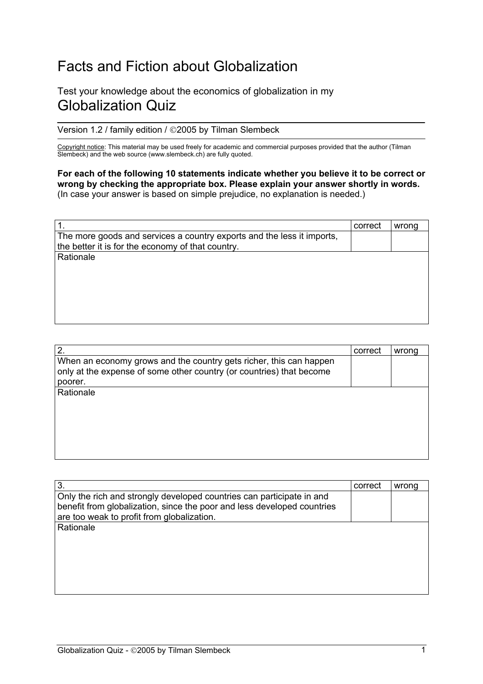## Facts and Fiction about Globalization

## Test your knowledge about the economics of globalization in my Globalization Quiz

Version 1.2 / family edition / 02005 by Tilman Slembeck

Copyright notice: This material may be used freely for academic and commercial purposes provided that the author (Tilman Slembeck) and the web source (www.slembeck.ch) are fully quoted.

For each of the following 10 statements indicate whether you believe it to be correct or wrong by checking the appropriate box. Please explain your answer shortly in words. (In case your answer is based on simple prejudice, no explanation is needed.)

| -1.                                                                    | correct | wrong |
|------------------------------------------------------------------------|---------|-------|
| The more goods and services a country exports and the less it imports, |         |       |
| the better it is for the economy of that country.                      |         |       |
| Rationale                                                              |         |       |
|                                                                        |         |       |
|                                                                        |         |       |
|                                                                        |         |       |
|                                                                        |         |       |
|                                                                        |         |       |
|                                                                        |         |       |

| correct | wrong |
|---------|-------|
|         |       |
|         |       |
|         |       |
|         |       |
|         |       |
|         |       |
|         |       |

| 3.                                                                                                                                               | correct | wrona |
|--------------------------------------------------------------------------------------------------------------------------------------------------|---------|-------|
| Only the rich and strongly developed countries can participate in and<br>benefit from globalization, since the poor and less developed countries |         |       |
| are too weak to profit from globalization.                                                                                                       |         |       |
| Rationale                                                                                                                                        |         |       |
|                                                                                                                                                  |         |       |
|                                                                                                                                                  |         |       |
|                                                                                                                                                  |         |       |
|                                                                                                                                                  |         |       |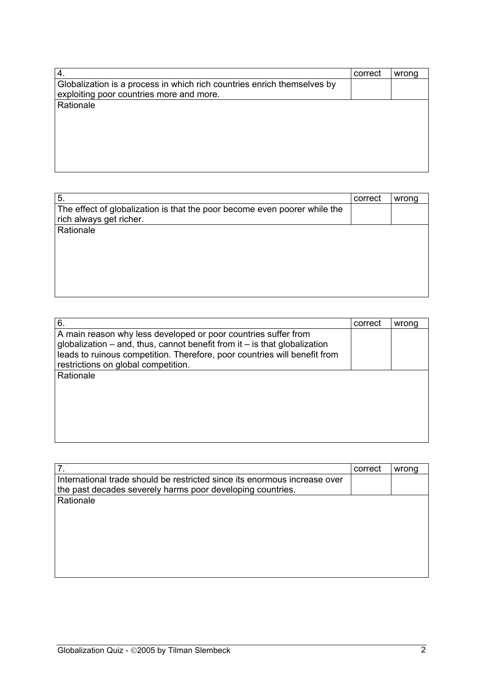| 4.                                                                                                                  | correct | wrong |
|---------------------------------------------------------------------------------------------------------------------|---------|-------|
| Globalization is a process in which rich countries enrich themselves by<br>exploiting poor countries more and more. |         |       |
| Rationale                                                                                                           |         |       |
|                                                                                                                     |         |       |
|                                                                                                                     |         |       |

| 5.                                                                        | correct | wrong |
|---------------------------------------------------------------------------|---------|-------|
| The effect of globalization is that the poor become even poorer while the |         |       |
| rich always get richer.                                                   |         |       |
| Rationale                                                                 |         |       |
|                                                                           |         |       |
|                                                                           |         |       |
|                                                                           |         |       |
|                                                                           |         |       |
|                                                                           |         |       |
|                                                                           |         |       |

| 6.                                                                            | correct | wrong |
|-------------------------------------------------------------------------------|---------|-------|
| A main reason why less developed or poor countries suffer from                |         |       |
| globalization $-$ and, thus, cannot benefit from it $-$ is that globalization |         |       |
| leads to ruinous competition. Therefore, poor countries will benefit from     |         |       |
| restrictions on global competition.                                           |         |       |
| Rationale                                                                     |         |       |
|                                                                               |         |       |
|                                                                               |         |       |
|                                                                               |         |       |
|                                                                               |         |       |
|                                                                               |         |       |
|                                                                               |         |       |
|                                                                               |         |       |

|                                                                           | correct | wrong |
|---------------------------------------------------------------------------|---------|-------|
| International trade should be restricted since its enormous increase over |         |       |
| the past decades severely harms poor developing countries.                |         |       |
| Rationale                                                                 |         |       |
|                                                                           |         |       |
|                                                                           |         |       |
|                                                                           |         |       |
|                                                                           |         |       |
|                                                                           |         |       |
|                                                                           |         |       |
|                                                                           |         |       |
|                                                                           |         |       |